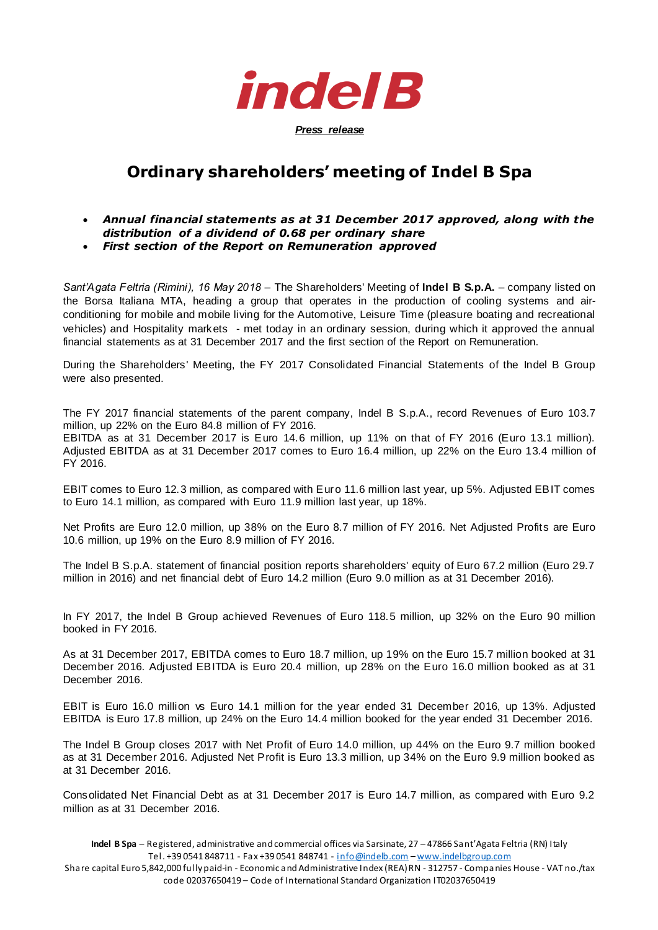

## **Ordinary shareholders' meeting of Indel B Spa**

## • *Annual financial statements as at 31 December 2017 approved, along with the distribution of a dividend of 0.68 per ordinary share*

• *First section of the Report on Remuneration approved*

*Sant'Agata Feltria (Rimini), 16 May 2018* – The Shareholders' Meeting of **Indel B S.p.A.** – company listed on the Borsa Italiana MTA, heading a group that operates in the production of cooling systems and airconditioning for mobile and mobile living for the Automotive, Leisure Time (pleasure boating and recreational vehicles) and Hospitality markets - met today in an ordinary session, during which it approved the annual financial statements as at 31 December 2017 and the first section of the Report on Remuneration.

During the Shareholders' Meeting, the FY 2017 Consolidated Financial Statements of the Indel B Group were also presented.

The FY 2017 financial statements of the parent company, Indel B S.p.A., record Revenues of Euro 103.7 million, up 22% on the Euro 84.8 million of FY 2016.

EBITDA as at 31 December 2017 is Euro 14.6 million, up 11% on that of FY 2016 (Euro 13.1 million). Adjusted EBITDA as at 31 December 2017 comes to Euro 16.4 million, up 22% on the Euro 13.4 million of FY 2016.

EBIT comes to Euro 12.3 million, as compared with Euro 11.6 million last year, up 5%. Adjusted EBIT comes to Euro 14.1 million, as compared with Euro 11.9 million last year, up 18%.

Net Profits are Euro 12.0 million, up 38% on the Euro 8.7 million of FY 2016. Net Adjusted Profits are Euro 10.6 million, up 19% on the Euro 8.9 million of FY 2016.

The Indel B S.p.A. statement of financial position reports shareholders' equity of Euro 67.2 million (Euro 29.7 million in 2016) and net financial debt of Euro 14.2 million (Euro 9.0 million as at 31 December 2016).

In FY 2017, the Indel B Group achieved Revenues of Euro 118.5 million, up 32% on the Euro 90 million booked in FY 2016.

As at 31 December 2017, EBITDA comes to Euro 18.7 million, up 19% on the Euro 15.7 million booked at 31 December 2016. Adjusted EBITDA is Euro 20.4 million, up 28% on the Euro 16.0 million booked as at 31 December 2016.

EBIT is Euro 16.0 million vs Euro 14.1 million for the year ended 31 December 2016, up 13%. Adjusted EBITDA is Euro 17.8 million, up 24% on the Euro 14.4 million booked for the year ended 31 December 2016.

The Indel B Group closes 2017 with Net Profit of Euro 14.0 million, up 44% on the Euro 9.7 million booked as at 31 December 2016. Adjusted Net Profit is Euro 13.3 million, up 34% on the Euro 9.9 million booked as at 31 December 2016.

Consolidated Net Financial Debt as at 31 December 2017 is Euro 14.7 million, as compared with Euro 9.2 million as at 31 December 2016.